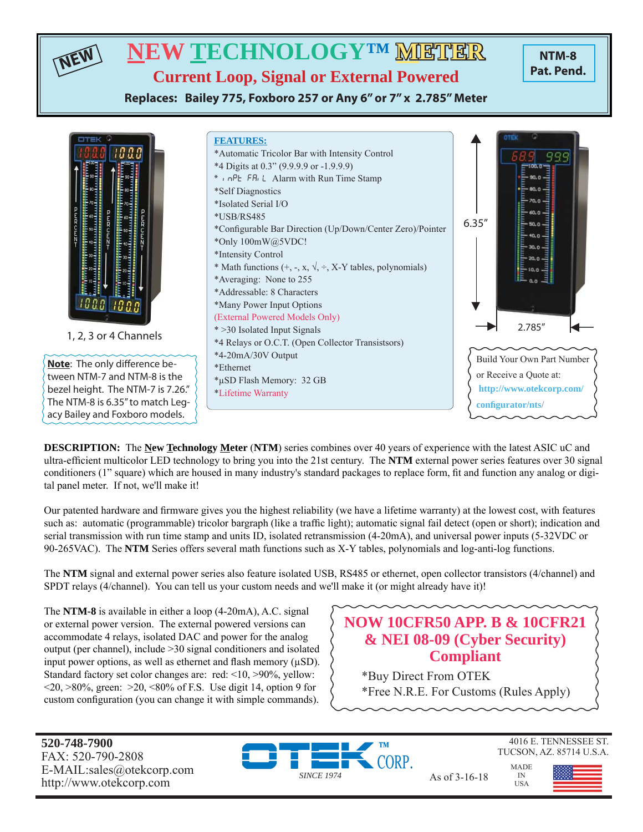# **NEW TECHNOLOGY™ METHER**

**NTM-8 Pat. Pend.**

**Current Loop, Signal or External Powered**

**Replaces: Bailey 775, Foxboro 257 or Any 6" or 7" x 2.785" Meter**



**DESCRIPTION:** The **New Technology Meter** (**NTM**) series combines over 40 years of experience with the latest ASIC uC and ultra-efficient multicolor LED technology to bring you into the 21st century. The **NTM** external power series features over 30 signal conditioners (1" square) which are housed in many industry's standard packages to replace form, fi t and function any analog or digital panel meter. If not, we'll make it!

Our patented hardware and firmware gives you the highest reliability (we have a lifetime warranty) at the lowest cost, with features such as: automatic (programmable) tricolor bargraph (like a traffic light); automatic signal fail detect (open or short); indication and serial transmission with run time stamp and units ID, isolated retransmission (4-20mA), and universal power inputs (5-32VDC or 90-265VAC). The **NTM** Series offers several math functions such as X-Y tables, polynomials and log-anti-log functions.

The **NTM** signal and external power series also feature isolated USB, RS485 or ethernet, open collector transistors (4/channel) and SPDT relays (4/channel). You can tell us your custom needs and we'll make it (or might already have it)!

The **NTM-8** is available in either a loop (4-20mA), A.C. signal or external power version. The external powered versions can accommodate 4 relays, isolated DAC and power for the analog output (per channel), include >30 signal conditioners and isolated input power options, as well as ethernet and flash memory  $(\mu SD)$ . Standard factory set color changes are: red: <10, >90%, yellow:  $\langle 20, \rangle 80\%$ , green:  $\langle 20, \langle 80, \rangle$  of F.S. Use digit 14, option 9 for custom configuration (you can change it with simple commands).

# **NOW 10CFR50 APP. B & 10CFR21 & NEI 08-09 (Cyber Security) Compliant**

\*Buy Direct From OTEK \*Free N.R.E. For Customs (Rules Apply)

**520-748-7900** FAX: 520-790-2808 E-MAIL:sales@otekcorp.com http://www.otekcorp.com SINCE 1974 As of 3-16-18

**NEW**



4016 E. TENNESSEE ST. TUCSON, AZ. 85714 U.S.A. MADE

> IN USA

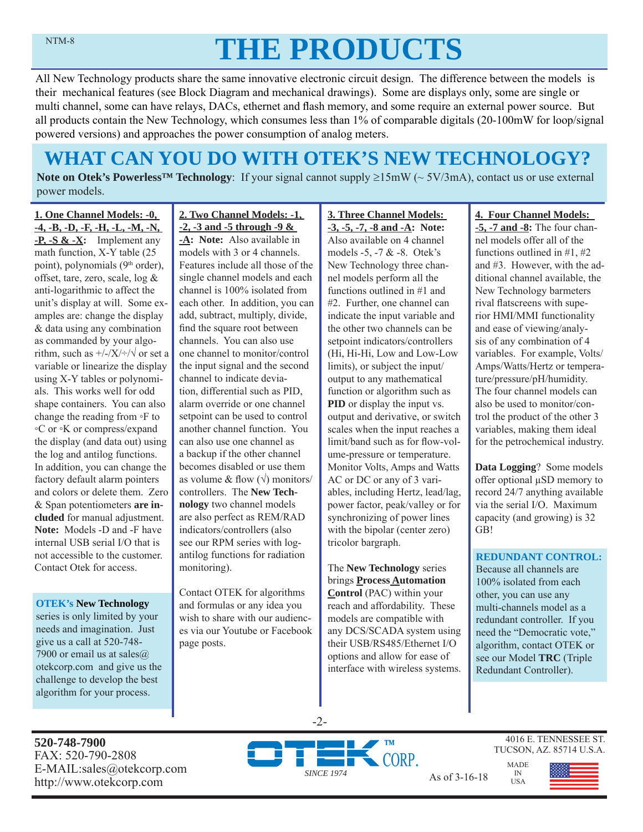# **THE PRODUCTS**

All New Technology products share the same innovative electronic circuit design. The difference between the models is their mechanical features (see Block Diagram and mechanical drawings). Some are displays only, some are single or multi channel, some can have relays, DACs, ethernet and flash memory, and some require an external power source. But all products contain the New Technology, which consumes less than 1% of comparable digitals (20-100mW for loop/signal powered versions) and approaches the power consumption of analog meters.

# **WHAT CAN YOU DO WITH OTEK'S NEW TECHNOLOGY?**

**Note on Otek's Powerless<sup>TM</sup> Technology**: If your signal cannot supply  $\geq 15 \text{mW}$  ( $\sim 5V/3 \text{mA}$ ), contact us or use external power models.

**1. One Channel Models: -0, -4, -B, -D, -F, -H, -L, -M, -N, -P, -S & -X:** Implement any math function, X-Y table (25 point), polynomials (9<sup>th</sup> order), offset, tare, zero, scale, log & anti-logarithmic to affect the unit's display at will. Some examples are: change the display & data using any combination as commanded by your algorithm, such as  $\frac{+}{-}\times\frac{+}{\sqrt{}}$  or set a variable or linearize the display using X-Y tables or polynomials. This works well for odd shape containers. You can also change the reading from ◦F to ◦C or ◦K or compress/expand the display (and data out) using the log and antilog functions. In addition, you can change the factory default alarm pointers and colors or delete them. Zero & Span potentiometers **are included** for manual adjustment. **Note:** Models -D and -F have internal USB serial I/O that is not accessible to the customer. Contact Otek for access.

#### **OTEK's New Technology**

series is only limited by your needs and imagination. Just give us a call at 520-748- 7900 or email us at sales $@$ . otekcorp.com and give us the challenge to develop the best algorithm for your process.

#### **2. Two Channel Models: -1, -2, -3 and -5 through -9 &**

**-A: Note:** Also available in models with 3 or 4 channels. Features include all those of the single channel models and each channel is 100% isolated from each other. In addition, you can add, subtract, multiply, divide, find the square root between channels. You can also use one channel to monitor/control the input signal and the second channel to indicate deviation, differential such as PID, alarm override or one channel setpoint can be used to control another channel function. You can also use one channel as a backup if the other channel becomes disabled or use them as volume & flow  $(\sqrt{})$  monitors/ controllers. The **New Technology** two channel models are also perfect as REM/RAD indicators/controllers (also see our RPM series with logantilog functions for radiation monitoring).

Contact OTEK for algorithms and formulas or any idea you wish to share with our audiences via our Youtube or Facebook page posts.

#### **3. Three Channel Models: -3, -5, -7, -8 and -A: Note:**  Also available on 4 channel models -5, -7 & -8. Otek's New Technology three channel models perform all the functions outlined in #1 and #2. Further, one channel can indicate the input variable and the other two channels can be setpoint indicators/controllers (Hi, Hi-Hi, Low and Low-Low limits), or subject the input/ output to any mathematical function or algorithm such as **PID** or display the input vs. output and derivative, or switch scales when the input reaches a limit/band such as for flow-volume-pressure or temperature. Monitor Volts, Amps and Watts AC or DC or any of 3 variables, including Hertz, lead/lag, power factor, peak/valley or for synchronizing of power lines with the bipolar (center zero) tricolor bargraph.

The **New Technology** series brings **Process Automation Control** (PAC) within your reach and affordability. These models are compatible with any DCS/SCADA system using their USB/RS485/Ethernet I/O options and allow for ease of interface with wireless systems.

#### **4. Four Channel Models:**

**-5, -7 and -8:** The four channel models offer all of the functions outlined in #1, #2 and #3. However, with the additional channel available, the New Technology barmeters rival flatscreens with superior HMI/MMI functionality and ease of viewing/analysis of any combination of 4 variables. For example, Volts/ Amps/Watts/Hertz or temperature/pressure/pH/humidity. The four channel models can also be used to monitor/control the product of the other 3 variables, making them ideal for the petrochemical industry.

**Data Logging**? Some models offer optional μSD memory to record 24/7 anything available via the serial I/O. Maximum capacity (and growing) is 32 GB!

#### **REDUNDANT CONTROL:**

Because all channels are 100% isolated from each other, you can use any multi-channels model as a redundant controller. If you need the "Democratic vote," algorithm, contact OTEK or see our Model **TRC** (Triple Redundant Controller).

**520-748-7900** FAX: 520-790-2808 E-MAIL:sales@otekcorp.com



-2-

4016 E. TENNESSEE ST. TUCSON, AZ. 85714 U.S.A.

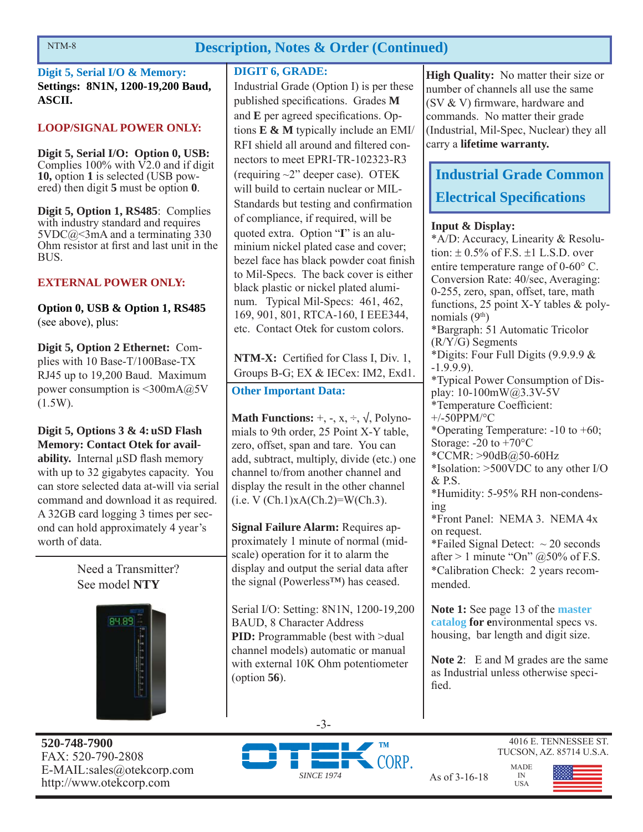### **Description, Notes & Order (Continued)**

**Digit 5, Serial I/O & Memory: Settings: 8N1N, 1200-19,200 Baud, ASCII.**

#### **LOOP/SIGNAL POWER ONLY:**

**Digit 5, Serial I/O: Option 0, USB:**  Complies  $100\%$  with  $\nabla$ 2.0 and if digit **10,** option **1** is selected (USB powered) then digit **5** must be option **0**.

**Digit 5, Option 1, RS485**: Complies with industry standard and requires  $5VDC@<3mA$  and a terminating 330 Ohm resistor at first and last unit in the BUS.

#### **EXTERNAL POWER ONLY:**

**Option 0, USB & Option 1, RS485**  (see above), plus:

**Digit 5, Option 2 Ethernet:** Complies with 10 Base-T/100Base-TX RJ45 up to 19,200 Baud. Maximum power consumption is <300mA@5V (1.5W).

**Digit 5, Options 3 & 4: uSD Flash Memory: Contact Otek for availability.** Internal μSD flash memory with up to 32 gigabytes capacity. You can store selected data at-will via serial command and download it as required. A 32GB card logging 3 times per second can hold approximately 4 year's worth of data.

> Need a Transmitter? See model **NTY**



**520-748-7900** FAX: 520-790-2808 E-MAIL:sales@otekcorp.com http://www.otekcorp.com SINCE 1974 As of 3-16-18

#### **DIGIT 6, GRADE:**

Industrial Grade (Option I) is per these published specifications. Grades M and **E** per agreed specifications. Options **E & M** typically include an EMI/ RFI shield all around and filtered connectors to meet EPRI-TR-102323-R3 (requiring  $\sim$ 2" deeper case). OTEK will build to certain nuclear or MIL-Standards but testing and confirmation of compliance, if required, will be quoted extra. Option "**I**" is an aluminium nickel plated case and cover; bezel face has black powder coat finish to Mil-Specs. The back cover is either black plastic or nickel plated aluminum. Typical Mil-Specs: 461, 462, 169, 901, 801, RTCA-160, I EEE344, etc. Contact Otek for custom colors.

**NTM-X:** Certified for Class I, Div. 1, Groups B-G; EX & IECex: IM2, Exd1.

#### **Other Important Data:**

**Math Functions:**  $+$ ,  $-$ ,  $x$ ,  $\div$ ,  $\sqrt{}$ , Polynomials to 9th order, 25 Point X-Y table, zero, offset, span and tare. You can add, subtract, multiply, divide (etc.) one channel to/from another channel and display the result in the other channel  $(i.e. V (Ch.1)xA(Ch.2)=W(Ch.3).$ 

**Signal Failure Alarm:** Requires approximately 1 minute of normal (midscale) operation for it to alarm the display and output the serial data after the signal (Powerless™) has ceased.

Serial I/O: Setting: 8N1N, 1200-19,200 BAUD, 8 Character Address **PID:** Programmable (best with >dual channel models) automatic or manual with external 10K Ohm potentiometer (option **56**).

**High Quality:** No matter their size or number of channels all use the same  $(SV & V)$  firmware, hardware and commands. No matter their grade (Industrial, Mil-Spec, Nuclear) they all carry a **lifetime warranty.**

# **Industrial Grade Common Electrical Specifications**

#### **Input & Display:**

\*A/D: Accuracy, Linearity & Resolution:  $\pm$  0.5% of F.S.  $\pm$ 1 L.S.D. over entire temperature range of  $0\n-60^{\circ}$  C. Conversion Rate: 40/sec, Averaging: 0-255, zero, span, offset, tare, math functions, 25 point X-Y tables & polynomials  $(9<sup>th</sup>)$ \*Bargraph: 51 Automatic Tricolor (R/Y/G) Segments \*Digits: Four Full Digits (9.9.9.9 & -1.9.9.9). \*Typical Power Consumption of Display: 10-100mW@3.3V-5V \*Temperature Coefficient: +/-50PPM/°C \*Operating Temperature: -10 to +60; Storage:  $-20$  to  $+70^{\circ}$ C \*CCMR: >90dB@50-60Hz \*Isolation: >500VDC to any other I/O & P.S. \*Humidity: 5-95% RH non-condensing \*Front Panel: NEMA 3. NEMA 4x on request. \*Failed Signal Detect:  $\sim$  20 seconds after  $> 1$  minute "On"  $@50\%$  of F.S. \*Calibration Check: 2 years recommended.

**Note 1:** See page 13 of the **master catalog for e**nvironmental specs vs. housing, bar length and digit size.

**Note 2**: E and M grades are the same as Industrial unless otherwise specified.

> MADE IN USA

-3-



4016 E. TENNESSEE ST. TUCSON, AZ. 85714 U.S.A.

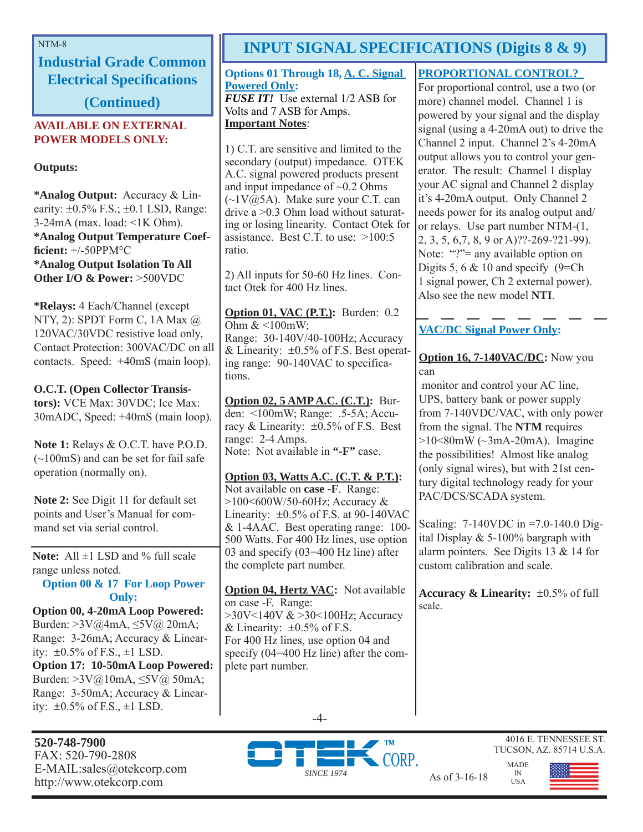**Industrial Grade Common Electrical Specifications** 

**(Continued)**

#### **AVAILABLE ON EXTERNAL POWER MODELS ONLY:**

**Outputs:**

**\*Analog Output:** Accuracy & Linearity:  $\pm 0.5\%$  F.S.;  $\pm 0.1$  LSD, Range:  $3-24mA$  (max. load:  $\leq 1K$  Ohm). **\*Analog Output Temperature Coeffi cient:** +/-50PPM°C **\*Analog Output Isolation To All Other I/O & Power:** >500VDC

**\*Relays:** 4 Each/Channel (except NTY, 2): SPDT Form C, 1A Max @ 120VAC/30VDC resistive load only, Contact Protection: 300VAC/DC on all contacts. Speed: +40mS (main loop).

**O.C.T. (Open Collector Transistors):** VCE Max: 30VDC; Ice Max: 30mADC, Speed: +40mS (main loop).

**Note 1:** Relays & O.C.T. have P.O.D. (~100mS) and can be set for fail safe operation (normally on).

**Note 2:** See Digit 11 for default set points and User's Manual for command set via serial control.

**Note:** All ±1 LSD and % full scale range unless noted.

**Option 00 & 17 For Loop Power Only:**

**Option 00, 4-20mA Loop Powered:**  Burden: >3V@4mA, ≤5V@ 20mA; Range: 3-26mA; Accuracy & Linearity:  $\pm 0.5\%$  of F.S.,  $\pm 1$  LSD. **Option 17: 10-50mA Loop Powered:**  Burden: >3V@10mA, ≤5V@ 50mA; Range: 3-50mA; Accuracy & Linearity:  $\pm 0.5\%$  of F.S.,  $\pm 1$  LSD.

**520-748-7900** FAX: 520-790-2808 E-MAIL:sales@otekcorp.com

# NTM-8 **INPUT SIGNAL SPECIFICATIONS (Digits 8 & 9)**

#### **Options 01 Through 18, A. C. Signal Powered Only:**

*FUSE IT!* Use external 1/2 ASB for Volts and 7 ASB for Amps. **Important Notes**:

1) C.T. are sensitive and limited to the secondary (output) impedance. OTEK A.C. signal powered products present and input impedance of  $\sim 0.2$  Ohms  $(\sim 1 \text{V}(\hat{\omega})$ . Make sure your C.T. can drive a >0.3 Ohm load without saturating or losing linearity. Contact Otek for assistance. Best C.T. to use: >100:5 ratio.

2) All inputs for 50-60 Hz lines. Contact Otek for 400 Hz lines.

**Option 01, VAC (P.T.):** Burden: 0.2 Ohm  $<100$ mW: Range: 30-140V/40-100Hz; Accuracy & Linearity:  $\pm 0.5\%$  of F.S. Best operating range: 90-140VAC to specifications.

**Option 02, 5 AMP A.C. (C.T.):** Burden: <100mW; Range: .5-5A; Accuracy & Linearity:  $\pm 0.5\%$  of F.S. Best range: 2-4 Amps. Note: Not available in **"-F"** case.

**Option 03, Watts A.C. (C.T. & P.T.):** Not available on **case -F**. Range: >100<600W/50-60Hz; Accuracy & Linearity:  $\pm 0.5\%$  of F.S. at 90-140VAC & 1-4AAC. Best operating range: 100- 500 Watts. For 400 Hz lines, use option 03 and specify (03=400 Hz line) after the complete part number.

**Option 04, Hertz VAC:** Not available on case -F. Range: >30V<140V & >30<100Hz; Accuracy & Linearity:  $\pm 0.5\%$  of F.S. For 400 Hz lines, use option 04 and specify (04=400 Hz line) after the complete part number.

#### **PROPORTIONAL CONTROL?**

For proportional control, use a two (or more) channel model. Channel 1 is powered by your signal and the display signal (using a 4-20mA out) to drive the Channel 2 input. Channel 2's 4-20mA output allows you to control your generator. The result: Channel 1 display your AC signal and Channel 2 display it's 4-20mA output. Only Channel 2 needs power for its analog output and/ or relays. Use part number NTM-(1, 2, 3, 5, 6,7, 8, 9 or A)??-269-?21-99). Note: "?"= any available option on Digits 5, 6  $& 10$  and specify (9=Ch) 1 signal power, Ch 2 external power). Also see the new model **NTI**.

### **VAC/DC Signal Power Only:**

**Option 16, 7-140VAC/DC:** Now you can

 monitor and control your AC line, UPS, battery bank or power supply from 7-140VDC/VAC, with only power from the signal. The **NTM** requires  $>10<80$ mW ( $\sim$ 3mA-20mA). Imagine the possibilities! Almost like analog (only signal wires), but with 21st century digital technology ready for your PAC/DCS/SCADA system.

Scaling: 7-140VDC in =7.0-140.0 Digital Display & 5-100% bargraph with alarm pointers. See Digits 13 & 14 for custom calibration and scale.

**Accuracy & Linearity:**  $\pm 0.5\%$  of full scale.





4016 E. TENNESSEE ST. TUCSON, AZ. 85714 U.S.A.

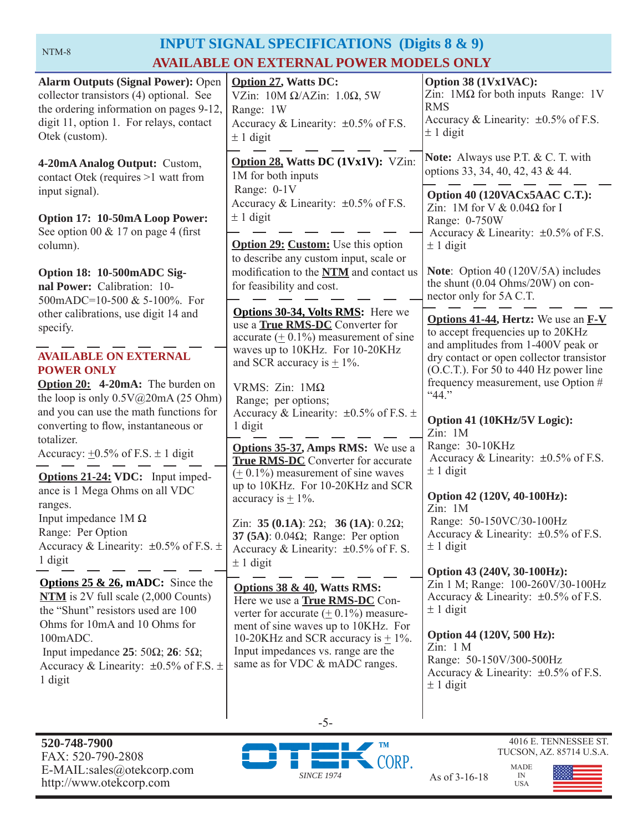# **INPUT SIGNAL SPECIFICATIONS (Digits 8 & 9) AVAILABLE ON EXTERNAL POWER MODELS ONLY**

| <b>Alarm Outputs (Signal Power): Open</b><br>collector transistors (4) optional. See<br>the ordering information on pages 9-12,<br>digit 11, option 1. For relays, contact<br>Otek (custom). | <b>Option 27, Watts DC:</b><br>VZin: $10M \Omega/AZ$ in: $1.0\Omega$ , 5W<br>Range: 1W<br>Accuracy & Linearity: $\pm 0.5\%$ of F.S.<br>$\pm$ 1 digit  | Option 38 (1Vx1VAC):<br>Zin: $1\text{M}\Omega$ for both inputs Range: 1V<br><b>RMS</b><br>Accuracy & Linearity: $\pm 0.5\%$ of F.S.<br>$\pm$ 1 digit |
|----------------------------------------------------------------------------------------------------------------------------------------------------------------------------------------------|-------------------------------------------------------------------------------------------------------------------------------------------------------|------------------------------------------------------------------------------------------------------------------------------------------------------|
| 4-20mA Analog Output: Custom,<br>contact Otek (requires >1 watt from                                                                                                                         | Option 28, Watts DC (1Vx1V): VZin:<br>1M for both inputs                                                                                              | <b>Note:</b> Always use P.T. & C. T. with<br>options 33, 34, 40, 42, 43 & 44.                                                                        |
| input signal).                                                                                                                                                                               | Range: 0-1V<br>Accuracy & Linearity: $\pm 0.5\%$ of F.S.                                                                                              | Option 40 (120VACx5AAC C.T.):<br>Zin: 1M for V $& 0.04\Omega$ for I                                                                                  |
| Option 17: 10-50mA Loop Power:<br>See option 00 $& 17$ on page 4 (first<br>column).                                                                                                          | $± 1$ digit<br><b>Option 29: Custom:</b> Use this option                                                                                              | Range: 0-750W<br>Accuracy & Linearity: ±0.5% of F.S.<br>$\pm$ 1 digit                                                                                |
| Option 18: 10-500mADC Sig-                                                                                                                                                                   | to describe any custom input, scale or<br>modification to the NTM and contact us                                                                      | Note: Option 40 (120V/5A) includes                                                                                                                   |
| nal Power: Calibration: 10-<br>500mADC=10-500 & 5-100%. For                                                                                                                                  | for feasibility and cost.<br><b>Options 30-34, Volts RMS:</b> Here we                                                                                 | the shunt (0.04 Ohms/20W) on con-<br>nector only for 5A C.T.                                                                                         |
| other calibrations, use digit 14 and<br>specify.                                                                                                                                             | use a <b>True RMS-DC</b> Converter for<br>accurate $(± 0.1\%)$ measurement of sine                                                                    | <b>Options 41-44, Hertz:</b> We use an <b>F-V</b><br>to accept frequencies up to 20KHz<br>and amplitudes from 1-400V peak or                         |
| <b>AVAILABLE ON EXTERNAL</b><br><b>POWER ONLY</b>                                                                                                                                            | waves up to 10KHz. For 10-20KHz<br>and SCR accuracy is $\pm$ 1%.                                                                                      | dry contact or open collector transistor<br>(O.C.T.). For 50 to 440 Hz power line                                                                    |
| <b>Option 20:</b> 4-20mA: The burden on<br>the loop is only $0.5V@20mA(25 Ohm)$<br>and you can use the math functions for                                                                    | VRMS: Zin: $1M\Omega$<br>Range; per options;                                                                                                          | frequency measurement, use Option #<br>``44."                                                                                                        |
| converting to flow, instantaneous or<br>totalizer.                                                                                                                                           | Accuracy & Linearity: $\pm 0.5\%$ of F.S. $\pm$<br>1 digit                                                                                            | Option 41 (10KHz/5V Logic):<br>Zin: 1M<br>Range: 30-10KHz                                                                                            |
| Accuracy: $\pm 0.5\%$ of F.S. $\pm 1$ digit<br>Options 21-24: VDC: Input imped-                                                                                                              | <b>Options 35-37, Amps RMS:</b> We use a<br><b>True RMS-DC</b> Converter for accurate<br>$(± 0.1%)$ measurement of sine waves                         | Accuracy & Linearity: $\pm 0.5\%$ of F.S.<br>$\pm$ 1 digit                                                                                           |
| ance is 1 Mega Ohms on all VDC<br>ranges.                                                                                                                                                    | up to 10KHz. For 10-20KHz and SCR<br>accuracy is $\pm$ 1%.                                                                                            | Option 42 (120V, 40-100Hz):<br>Zin: 1M                                                                                                               |
| Input impedance $1M\Omega$<br>Range: Per Option                                                                                                                                              | Zin: 35 (0.1A): $2\Omega$ ; 36 (1A): 0.2 $\Omega$ ;<br>37 (5A): $0.04\Omega$ ; Range: Per option                                                      | Range: 50-150VC/30-100Hz<br>Accuracy & Linearity: $\pm 0.5\%$ of F.S.                                                                                |
| Accuracy & Linearity: $\pm 0.5\%$ of F.S. $\pm$<br>1 digit                                                                                                                                   | Accuracy & Linearity: $\pm 0.5\%$ of F. S.<br>$\pm$ 1 digit                                                                                           | $\pm$ 1 digit<br>Option 43 (240V, 30-100Hz):                                                                                                         |
| <b>Options 25 &amp; 26, mADC:</b> Since the<br>$NTM$ is 2V full scale $(2,000$ Counts)<br>the "Shunt" resistors used are 100                                                                 | Options 38 & 40, Watts RMS:<br>Here we use a <b>True RMS-DC</b> Con-<br>verter for accurate $(± 0.1%)$ measure-                                       | Zin 1 M; Range: 100-260V/30-100Hz<br>Accuracy & Linearity: $\pm 0.5\%$ of F.S.<br>$\pm$ 1 digit                                                      |
| Ohms for 10mA and 10 Ohms for<br>100mADC.<br>Input impedance 25: 50 $\Omega$ ; 26: 5 $\Omega$ ;<br>Accuracy & Linearity: $\pm 0.5\%$ of F.S. $\pm$<br>1 digit                                | ment of sine waves up to 10KHz. For<br>10-20KHz and SCR accuracy is $\pm$ 1%.<br>Input impedances vs. range are the<br>same as for VDC & mADC ranges. | Option 44 (120V, 500 Hz):<br>Zin: 1 M<br>Range: 50-150V/300-500Hz<br>Accuracy & Linearity: $\pm 0.5\%$ of F.S.<br>$\pm$ 1 digit                      |
|                                                                                                                                                                                              |                                                                                                                                                       |                                                                                                                                                      |



-5-

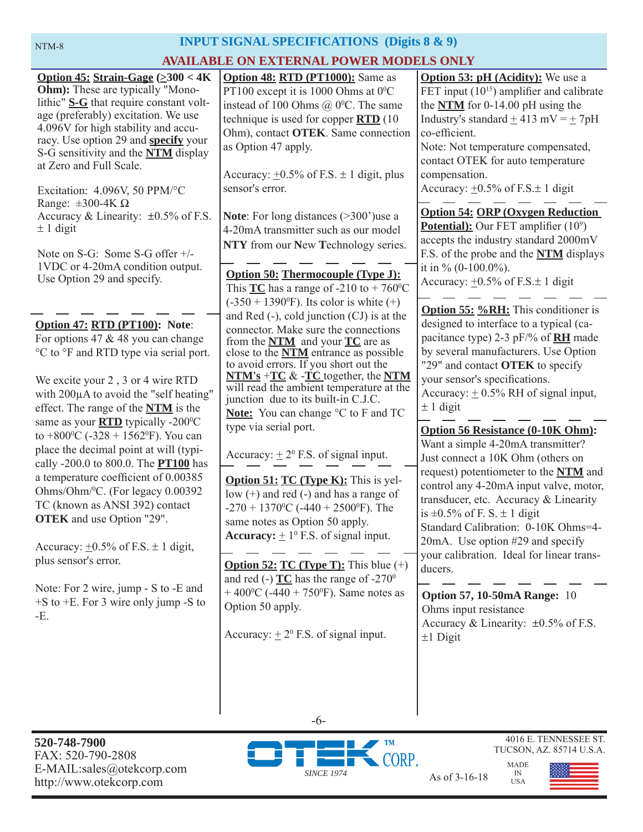# **INPUT SIGNAL SPECIFICATIONS (Digits 8 & 9)**

### **AVAILABLE ON EXTERNAL POWER MODELS ONLY**

|                                                                                                                                                                                                                                                                                                                                                                                                        | <u>SEATENWALT VWEN MODE</u>                                                                                                                                                                                                                                                                                                                                                                                             |                                                                                                                                                                                                                                                                                                                                                                                                       |
|--------------------------------------------------------------------------------------------------------------------------------------------------------------------------------------------------------------------------------------------------------------------------------------------------------------------------------------------------------------------------------------------------------|-------------------------------------------------------------------------------------------------------------------------------------------------------------------------------------------------------------------------------------------------------------------------------------------------------------------------------------------------------------------------------------------------------------------------|-------------------------------------------------------------------------------------------------------------------------------------------------------------------------------------------------------------------------------------------------------------------------------------------------------------------------------------------------------------------------------------------------------|
| Option 45: Strain-Gage $(\geq 300 < 4K)$<br><b>Ohm</b> ): These are typically "Mono-<br>lithic" S-G that require constant volt-<br>age (preferably) excitation. We use<br>4.096V for high stability and accu-<br>racy. Use option 29 and <b>specify</b> your<br>S-G sensitivity and the <b>NTM</b> display<br>at Zero and Full Scale.<br>Excitation: 4.096V, 50 PPM/°C<br>Range: $\pm 300 - 4K \Omega$ | <b>Option 48: RTD (PT1000):</b> Same as<br>PT100 except it is 1000 Ohms at 0°C<br>instead of 100 Ohms $@$ 0 <sup>o</sup> C. The same<br>technique is used for copper $\angle$ RTD (10)<br>Ohm), contact OTEK. Same connection<br>as Option 47 apply.<br>Accuracy: $\pm 0.5\%$ of F.S. $\pm$ 1 digit, plus<br>sensor's error.                                                                                            | <b>Option 53: pH (Acidity):</b> We use a<br>FET input $(10^{15})$ amplifier and calibrate<br>the $NTM$ for 0-14.00 pH using the<br>Industry's standard $\pm$ 413 mV = $\pm$ 7pH<br>co-efficient.<br>Note: Not temperature compensated,<br>contact OTEK for auto temperature<br>compensation.<br>Accuracy: $\pm 0.5\%$ of F.S. $\pm$ 1 digit                                                           |
| Accuracy & Linearity: $\pm 0.5\%$ of F.S.<br>$\pm$ 1 digit<br>Note on S-G: Some S-G offer +/-<br>1VDC or 4-20mA condition output.<br>Use Option 29 and specify.                                                                                                                                                                                                                                        | <b>Note:</b> For long distances $(>300)$ use a<br>4-20mA transmitter such as our model<br>NTY from our New Technology series.<br><b>Option 50: Thermocouple (Type J):</b><br>This $TC$ has a range of -210 to + 760 <sup>o</sup> C<br>$(-350 + 1390^{\circ}F)$ . Its color is white $(+)$                                                                                                                               | <b>Option 54: ORP (Oxygen Reduction)</b><br><b>Potential):</b> Our FET amplifier $(10^9)$<br>accepts the industry standard 2000mV<br>F.S. of the probe and the NTM displays<br>it in % $(0-100.0\%)$ .<br>Accuracy: $\pm 0.5\%$ of F.S. $\pm$ 1 digit                                                                                                                                                 |
| Option 47: RTD (PT100): Note:<br>For options 47 $&$ 48 you can change<br>°C to °F and RTD type via serial port.<br>We excite your 2, 3 or 4 wire RTD<br>with 200µA to avoid the "self heating"<br>effect. The range of the <b>NTM</b> is the<br>same as your <b>RTD</b> typically -200°C<br>to +800 <sup>o</sup> C (-328 + 1562 <sup>o</sup> F). You can<br>place the decimal point at will (typi-     | and Red $(-)$ , cold junction $(CJ)$ is at the<br>connector. Make sure the connections<br>from the $NTM$ and your $TC$ are as<br>close to the <b>NTM</b> entrance as possible<br>to avoid errors. If you short out the<br>$NTM's + TC > -\Gamma C$ together, the NTM<br>will read the ambient temperature at the<br>junction due to its built-in C.J.C.<br>Note: You can change °C to F and TC<br>type via serial port. | <b>Option 55: %RH:</b> This conditioner is<br>designed to interface to a typical (ca-<br>pacitance type) 2-3 pF/% of <b>RH</b> made<br>by several manufacturers. Use Option<br>"29" and contact <b>OTEK</b> to specify<br>your sensor's specifications.<br>Accuracy: $\pm$ 0.5% RH of signal input,<br>$\pm$ 1 digit<br><b>Option 56 Resistance (0-10K Ohm):</b><br>Want a simple 4-20mA transmitter? |
| cally -200.0 to 800.0. The <b>PT100</b> has<br>a temperature coefficient of 0.00385<br>Ohms/Ohm/ <sup>0</sup> C. (For legacy 0.00392<br>TC (known as ANSI 392) contact<br><b>OTEK</b> and use Option "29".<br>Accuracy: $\pm 0.5\%$ of F.S. $\pm$ 1 digit,<br>plus sensor's error.                                                                                                                     | Accuracy: $\pm 2^0$ F.S. of signal input.<br><b>Option 51: TC (Type K):</b> This is yel-<br>low $(+)$ and red $(-)$ and has a range of<br>$-270 + 1370$ <sup>o</sup> C ( $-440 + 2500$ <sup>o</sup> F). The<br>same notes as Option 50 apply.<br><b>Accuracy:</b> $\pm 1^0$ F.S. of signal input.<br><b>Option 52: TC (Type T):</b> This blue $(+)$<br>and red (-) $TC$ has the range of -270 <sup>0</sup>              | Just connect a 10K Ohm (others on<br>request) potentiometer to the NTM and<br>control any 4-20mA input valve, motor,<br>transducer, etc. Accuracy & Linearity<br>is $\pm 0.5\%$ of F. S. $\pm$ 1 digit<br>Standard Calibration: 0-10K Ohms=4-<br>20mA. Use option #29 and specify<br>your calibration. Ideal for linear trans-<br>ducers.                                                             |
| Note: For 2 wire, jump - S to -E and<br>$+$ S to $+$ E. For 3 wire only jump -S to<br>-E.                                                                                                                                                                                                                                                                                                              | + 400 <sup>o</sup> C (-440 + 750 <sup>o</sup> F). Same notes as<br>Option 50 apply.<br>Accuracy: $\pm 2^0$ F.S. of signal input.                                                                                                                                                                                                                                                                                        | <b>Option 57, 10-50mA Range: 10</b><br>Ohms input resistance<br>Accuracy & Linearity: $\pm 0.5\%$ of F.S.<br>$±1$ Digit                                                                                                                                                                                                                                                                               |

**520-748-7900** FAX: 520-790-2808 E-MAIL:sales@otekcorp.com http://www.otekcorp.com SINCE 1974 As of 3-16-18



-6-

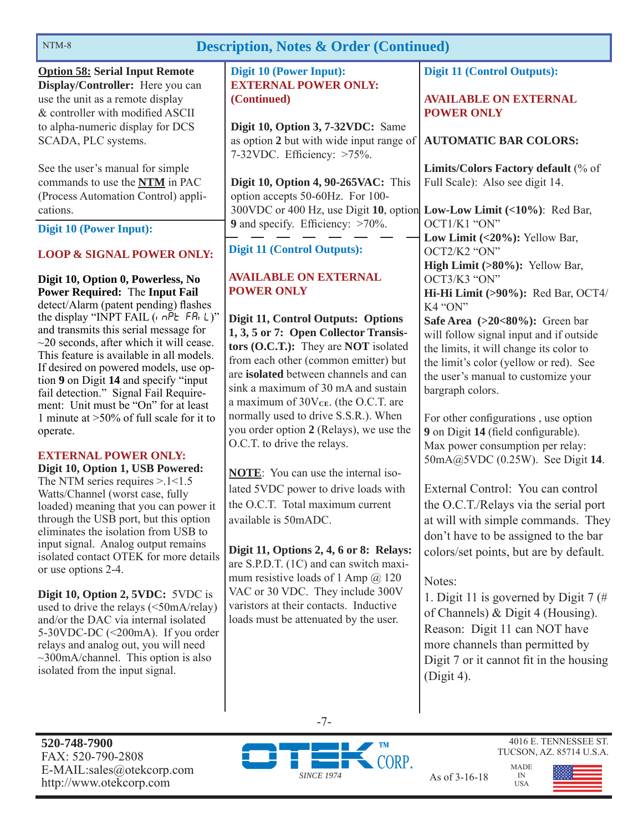| <b>Description, Notes &amp; Order (Continued)</b><br>NTM-8                                                                                                                                                                                                                                                                                                                                                                                                                                                                                                                                                                                           |                                                                                                                                                                                                                                                                                                                                                                                                                                                                                                                |                                                                                                                                                                                                                                                                                                                                                                                                                                                       |  |
|------------------------------------------------------------------------------------------------------------------------------------------------------------------------------------------------------------------------------------------------------------------------------------------------------------------------------------------------------------------------------------------------------------------------------------------------------------------------------------------------------------------------------------------------------------------------------------------------------------------------------------------------------|----------------------------------------------------------------------------------------------------------------------------------------------------------------------------------------------------------------------------------------------------------------------------------------------------------------------------------------------------------------------------------------------------------------------------------------------------------------------------------------------------------------|-------------------------------------------------------------------------------------------------------------------------------------------------------------------------------------------------------------------------------------------------------------------------------------------------------------------------------------------------------------------------------------------------------------------------------------------------------|--|
| <b>Option 58: Serial Input Remote</b><br>Display/Controller: Here you can<br>use the unit as a remote display<br>& controller with modified ASCII                                                                                                                                                                                                                                                                                                                                                                                                                                                                                                    | <b>Digit 10 (Power Input):</b><br><b>EXTERNAL POWER ONLY:</b><br>(Continued)                                                                                                                                                                                                                                                                                                                                                                                                                                   | <b>Digit 11 (Control Outputs):</b><br><b>AVAILABLE ON EXTERNAL</b><br><b>POWER ONLY</b>                                                                                                                                                                                                                                                                                                                                                               |  |
| to alpha-numeric display for DCS<br>SCADA, PLC systems.                                                                                                                                                                                                                                                                                                                                                                                                                                                                                                                                                                                              | Digit 10, Option 3, 7-32VDC: Same<br>as option 2 but with wide input range of<br>7-32VDC. Efficiency: >75%.                                                                                                                                                                                                                                                                                                                                                                                                    | <b>AUTOMATIC BAR COLORS:</b>                                                                                                                                                                                                                                                                                                                                                                                                                          |  |
| See the user's manual for simple.<br>commands to use the NTM in PAC<br>(Process Automation Control) appli-                                                                                                                                                                                                                                                                                                                                                                                                                                                                                                                                           | Digit 10, Option 4, 90-265VAC: This<br>option accepts 50-60Hz. For 100-                                                                                                                                                                                                                                                                                                                                                                                                                                        | Limits/Colors Factory default (% of<br>Full Scale): Also see digit 14.                                                                                                                                                                                                                                                                                                                                                                                |  |
| cations.<br>Digit 10 (Power Input):                                                                                                                                                                                                                                                                                                                                                                                                                                                                                                                                                                                                                  | 300VDC or 400 Hz, use Digit 10, option Low-Low Limit (<10%): Red Bar,<br><b>9</b> and specify. Efficiency: $>70\%$ .                                                                                                                                                                                                                                                                                                                                                                                           | OCT1/K1 "ON"<br>Low Limit (<20%): Yellow Bar,                                                                                                                                                                                                                                                                                                                                                                                                         |  |
| <b>LOOP &amp; SIGNAL POWER ONLY:</b>                                                                                                                                                                                                                                                                                                                                                                                                                                                                                                                                                                                                                 | <b>Digit 11 (Control Outputs):</b>                                                                                                                                                                                                                                                                                                                                                                                                                                                                             | OCT2/K2 "ON"<br>High Limit (>80%): Yellow Bar,                                                                                                                                                                                                                                                                                                                                                                                                        |  |
| Digit 10, Option 0, Powerless, No<br><b>Power Required: The Input Fail</b><br>detect/Alarm (patent pending) flashes<br>the display "INPT FAIL $(n \cap P_E F R_L)^{n}$<br>and transmits this serial message for<br>$\sim$ 20 seconds, after which it will cease.<br>This feature is available in all models.<br>If desired on powered models, use op-<br>tion 9 on Digit 14 and specify "input<br>fail detection." Signal Fail Require-<br>ment: Unit must be "On" for at least<br>1 minute at $>50\%$ of full scale for it to<br>operate.<br><b>EXTERNAL POWER ONLY:</b><br>Digit 10, Option 1, USB Powered:<br>The NTM series requires $> 1 < 1.5$ | <b>AVAILABLE ON EXTERNAL</b><br><b>POWER ONLY</b><br><b>Digit 11, Control Outputs: Options</b><br>1, 3, 5 or 7: Open Collector Transis-<br>tors (O.C.T.): They are NOT isolated<br>from each other (common emitter) but<br>are isolated between channels and can<br>sink a maximum of 30 mA and sustain<br>a maximum of 30VcE. (the O.C.T. are<br>normally used to drive S.S.R.). When<br>you order option 2 (Relays), we use the<br>O.C.T. to drive the relays.<br><b>NOTE:</b> You can use the internal iso- | OCT3/K3 "ON"<br>Hi-Hi Limit (>90%): Red Bar, OCT4/<br>K4 "ON"<br>Safe Area $(>20<80\%)$ : Green bar<br>will follow signal input and if outside<br>the limits, it will change its color to<br>the limit's color (yellow or red). See<br>the user's manual to customize your<br>bargraph colors.<br>For other configurations, use option<br>9 on Digit 14 (field configurable).<br>Max power consumption per relay:<br>50mA@5VDC (0.25W). See Digit 14. |  |
| Watts/Channel (worst case, fully<br>loaded) meaning that you can power it<br>through the USB port, but this option<br>eliminates the isolation from USB to<br>input signal. Analog output remains<br>isolated contact OTEK for more details<br>or use options 2-4.<br>Digit 10, Option 2, 5VDC: 5VDC is<br>used to drive the relays $(\leq 50 \text{mA/relay})$<br>and/or the DAC via internal isolated<br>5-30VDC-DC (<200mA). If you order<br>relays and analog out, you will need<br>$\sim$ 300mA/channel. This option is also                                                                                                                    | lated 5VDC power to drive loads with<br>the O.C.T. Total maximum current<br>available is 50mADC.<br>Digit 11, Options 2, 4, 6 or 8: Relays:<br>are S.P.D.T. (1C) and can switch maxi-<br>mum resistive loads of 1 Amp $@$ 120<br>VAC or 30 VDC. They include 300V<br>varistors at their contacts. Inductive<br>loads must be attenuated by the user.                                                                                                                                                           | External Control: You can control<br>the O.C.T./Relays via the serial port<br>at will with simple commands. They<br>don't have to be assigned to the bar<br>colors/set points, but are by default.<br>Notes:<br>1. Digit 11 is governed by Digit 7 (#<br>of Channels) & Digit 4 (Housing).<br>Reason: Digit 11 can NOT have<br>more channels than permitted by                                                                                        |  |

**520-748-7900** FAX: 520-790-2808 E-MAIL:sales@otekcorp.com http://www.otekcorp.com SINCE 1974 As of 3-16-18

isolated from the input signal.



-7-

4016 E. TENNESSEE ST. TUCSON, AZ. 85714 U.S.A.

(Digit 4).

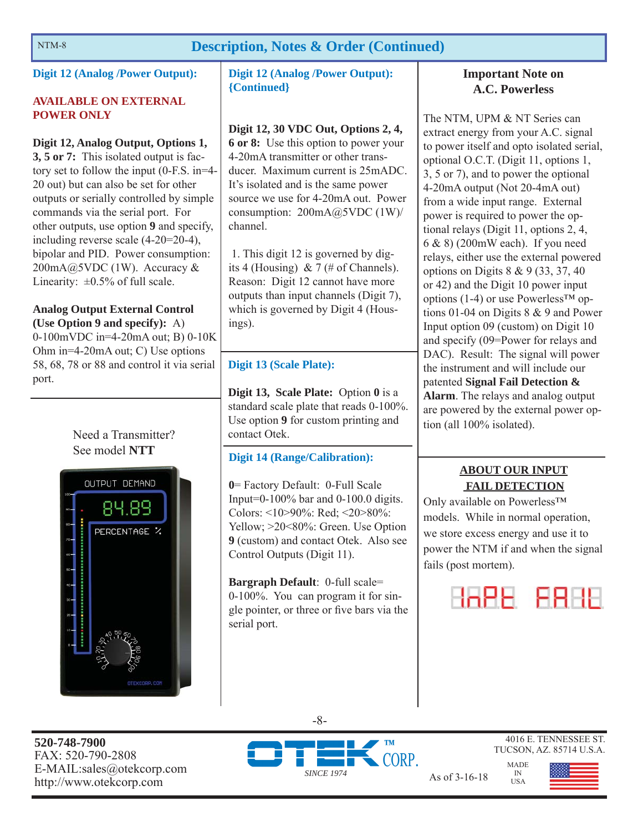### NTM-8 **Description, Notes & Order (Continued)**

**Digit 12 (Analog /Power Output):** 

#### **AVAILABLE ON EXTERNAL POWER ONLY**

#### **Digit 12, Analog Output, Options 1,**

**3, 5 or 7:** This isolated output is factory set to follow the input (0-F.S. in=4- 20 out) but can also be set for other outputs or serially controlled by simple commands via the serial port. For other outputs, use option **9** and specify, including reverse scale (4-20=20-4), bipolar and PID. Power consumption:  $200mA@5VDC(1W)$ . Accuracy & Linearity:  $\pm 0.5\%$  of full scale.

#### **Analog Output External Control (Use Option 9 and specify):** A)

0-100mVDC in=4-20mA out; B) 0-10K Ohm in=4-20mA out; C) Use options 58, 68, 78 or 88 and control it via serial port.





**Digit 12 (Analog /Power Output): {Continued}**

#### **Digit 12, 30 VDC Out, Options 2, 4,**

**6 or 8:** Use this option to power your 4-20mA transmitter or other transducer. Maximum current is 25mADC. It's isolated and is the same power source we use for 4-20mA out. Power consumption:  $200mA@5VDC(1W)'$ channel.

 1. This digit 12 is governed by digits 4 (Housing)  $& 7 \times 7$  (# of Channels). Reason: Digit 12 cannot have more outputs than input channels (Digit 7), which is governed by Digit 4 (Housings).

#### **Digit 13 (Scale Plate):**

**Digit 13, Scale Plate:** Option **0** is a standard scale plate that reads 0-100%. Use option **9** for custom printing and contact Otek.

#### **Digit 14 (Range/Calibration):**

**0**= Factory Default: 0-Full Scale Input=0-100% bar and  $0-100.0$  digits. Colors: <10>90%: Red; <20>80%: Yellow; >20<80%: Green. Use Option **9** (custom) and contact Otek. Also see Control Outputs (Digit 11).

**Bargraph Default**: 0-full scale= 0-100%. You can program it for single pointer, or three or five bars via the serial port.

#### **Important Note on A.C. Powerless**

The NTM, UPM & NT Series can extract energy from your A.C. signal to power itself and opto isolated serial, optional O.C.T. (Digit 11, options 1, 3, 5 or 7), and to power the optional 4-20mA output (Not 20-4mA out) from a wide input range. External power is required to power the optional relays (Digit 11, options 2, 4, 6 & 8) (200mW each). If you need relays, either use the external powered options on Digits 8 & 9 (33, 37, 40 or 42) and the Digit 10 power input options (1-4) or use Powerless<sup>TM</sup> options 01-04 on Digits 8 & 9 and Power Input option 09 (custom) on Digit 10 and specify (09=Power for relays and DAC). Result: The signal will power the instrument and will include our patented **Signal Fail Detection & Alarm**. The relays and analog output are powered by the external power option (all 100% isolated).

### **ABOUT OUR INPUT FAIL DETECTION**

Only available on Powerless™ models. While in normal operation, we store excess energy and use it to power the NTM if and when the signal fails (post mortem).



**520-748-7900** FAX: 520-790-2808 E-MAIL:sales@otekcorp.com



-8-

4016 E. TENNESSEE ST. TUCSON, AZ. 85714 U.S.A.

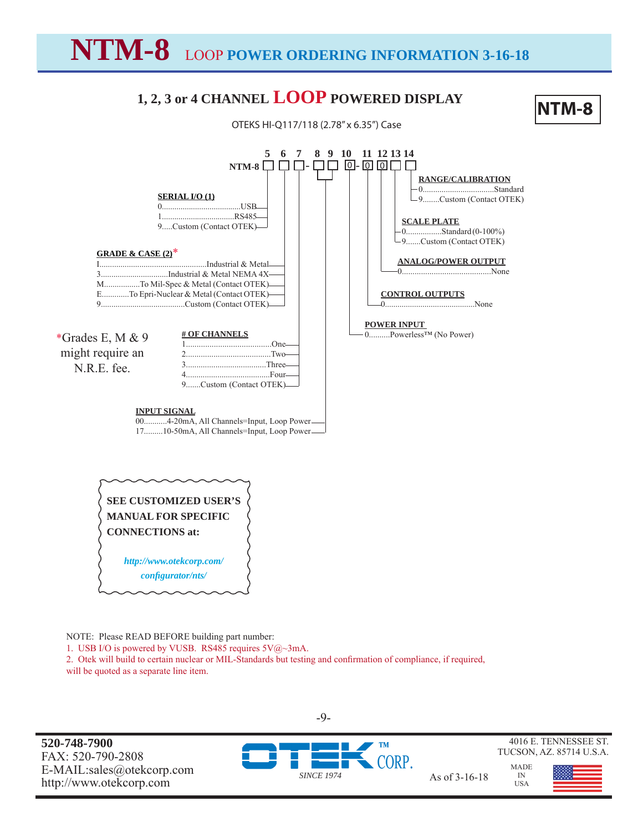**NTM-8** LOOP **POWER ORDERING INFORMATION 3-16-18**

# **1, 2, 3 or 4 CHANNEL LOOP POWERED DISPLAY**

# **NTM-8**





NOTE: Please READ BEFORE building part number:

1. USB I/O is powered by VUSB. RS485 requires  $5\sqrt{Q}$  3mA.

2. Otek will build to certain nuclear or MIL-Standards but testing and confirmation of compliance, if required,

will be quoted as a separate line item.

**520-748-7900** FAX: 520-790-2808 E-MAIL:sales@otekcorp.com http://www.otekcorp.com SINCE 1974 As of 3-16-18



-9-

MADE IN USA



4016 E. TENNESSEE ST. TUCSON, AZ. 85714 U.S.A.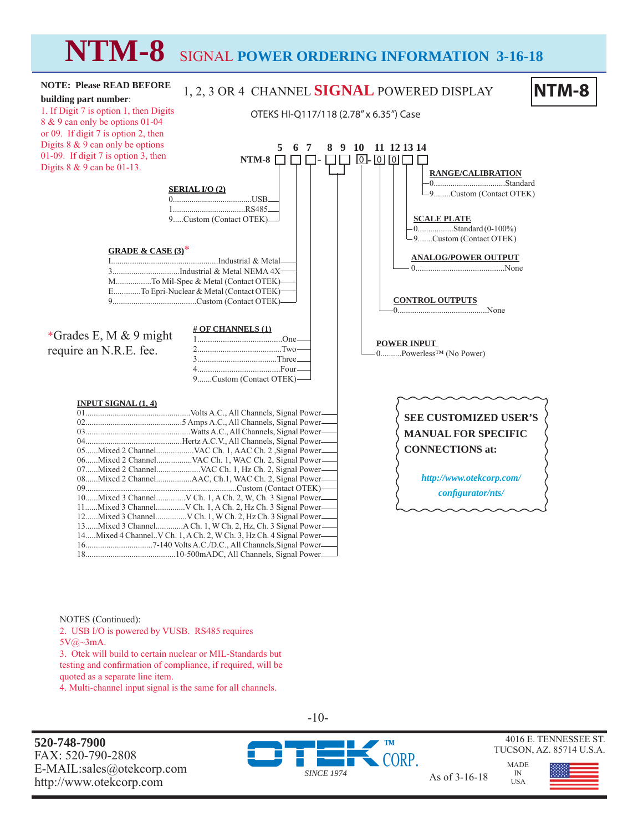# **NTM-8** SIGNAL **POWER ORDERING INFORMATION 3-16-18**



NOTES (Continued):

2. USB I/O is powered by VUSB. RS485 requires

 $5V$ @~3mA.

3. Otek will build to certain nuclear or MIL-Standards but testing and confirmation of compliance, if required, will be quoted as a separate line item.

4. Multi-channel input signal is the same for all channels.

**520-748-7900** FAX: 520-790-2808 E-MAIL:sales@otekcorp.com http://www.otekcorp.com As of 3-16-18



*SINCE 1974*



4016 E. TENNESSEE ST. TUCSON, AZ. 85714 U.S.A.

MADE

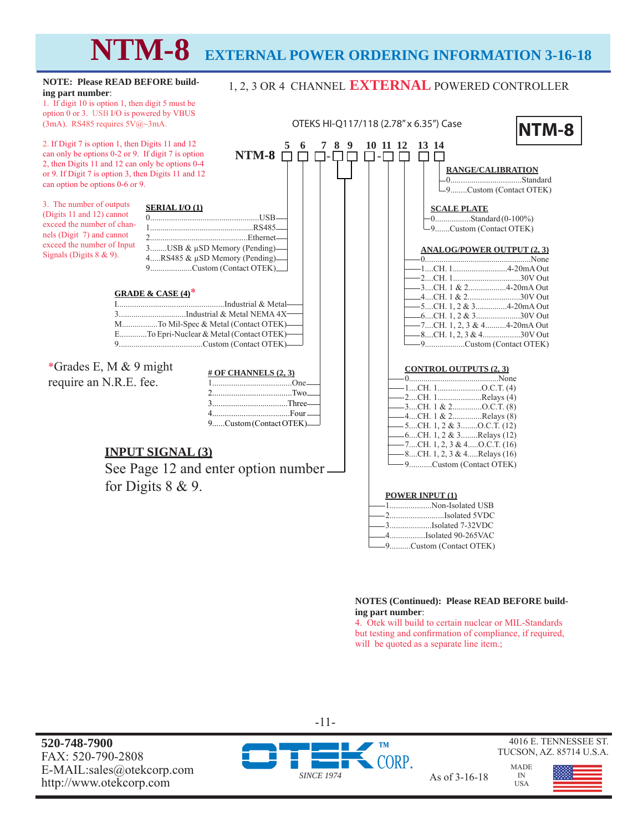# **NTM-8 EXTERNAL POWER ORDERING INFORMATION 3-16-18**



#### **NOTES (Continued): Please READ BEFORE building part number**:

4.................Isolated 90-265VAC 9..........Custom (Contact OTEK)

4. Otek will build to certain nuclear or MIL-Standards but testing and confirmation of compliance, if required, will be quoted as a separate line item.;

**520-748-7900** FAX: 520-790-2808 E-MAIL:sales@otekcorp.com http://www.otekcorp.com SINCE 1974 As of 3-16-18





4016 E. TENNESSEE ST. TUCSON, AZ. 85714 U.S.A.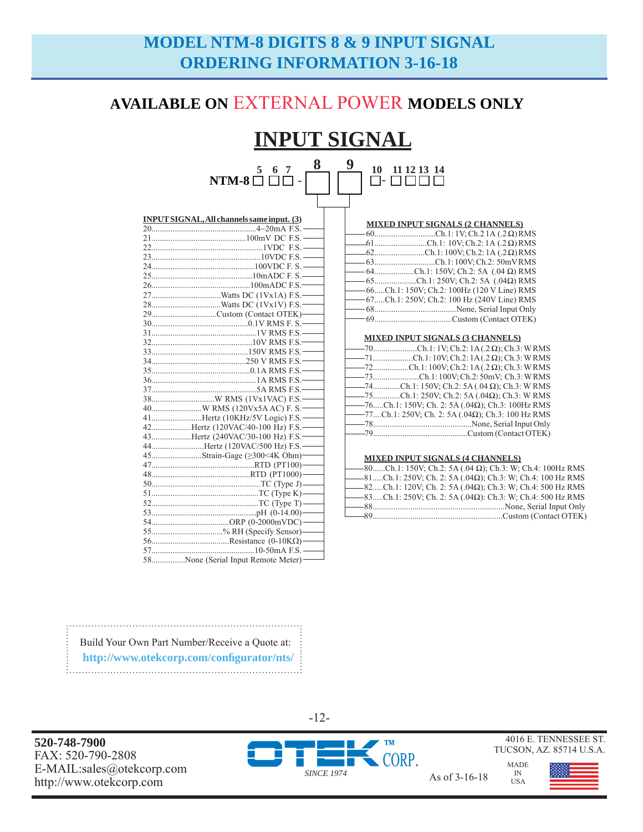# **MODEL NTM-8 DIGITS 8 & 9 INPUT SIGNAL ORDERING INFORMATION 3-16-18**

## **AVAILABLE ON** EXTERNAL POWER **MODELS ONLY**

#### **INPUT SIGNAL 5 6 7**  - **8 9**  - **10 11 12 13 14 NTM-8**

| <b>MIXED INPUT SIGNALS (2 CHANNELS)</b>        |
|------------------------------------------------|
|                                                |
| $-61$ Ch.1: 10V; Ch.2: 1A (.2 $\Omega$ ) RMS   |
| 62Ch.1:100V; Ch.2:1A (.2 $\Omega$ ) RMS        |
| -63Ch.1:100V; Ch.2: 50mVRMS                    |
| $-64$ Ch.1: 150V; Ch.2: 5A (.04 $\Omega$ ) RMS |
| $-65$ Ch.1: 250V; Ch.2: 5A (.04 $\Omega$ ) RMS |
| -66Ch.1: 150V; Ch.2: 100Hz (120 V Line) RMS    |
| -67Ch.1: 250V; Ch.2: 100 Hz (240V Line) RMS    |
|                                                |
|                                                |
|                                                |

#### **MIXED INPUT SIGNALS (3 CHANNELS)**

|  | ——70Ch.1:1V; Ch.2: 1A(.2 Ω); Ch.3: WRMS                      |  |
|--|--------------------------------------------------------------|--|
|  | $-$ 71Ch.1:10V; Ch.2:1A(.2 $\Omega$ ); Ch.3: WRMS            |  |
|  | $-$ 72Ch.1:100V; Ch.2:1A(.2 $\Omega$ ); Ch.3: WRMS           |  |
|  |                                                              |  |
|  | $-$ 74Ch.1: 150V; Ch.2: 5A (.04 $\Omega$ ); Ch.3: W RMS      |  |
|  | $-$ 75Ch.1: 250V; Ch.2: 5A (.04 $\Omega$ ); Ch.3: W RMS      |  |
|  | $-$ 76Ch.1: 150V; Ch. 2: 5A (.04 $\Omega$ ); Ch.3: 100Hz RMS |  |
|  | ——77Ch.1: 250V; Ch. 2: 5A (.04 $\Omega$ ); Ch.3: 100 Hz RMS  |  |
|  |                                                              |  |
|  |                                                              |  |

#### **MIXED INPUT SIGNALS (4 CHANNELS)**

| ——80Ch.1: 150V; Ch.2: 5A (.04 Ω); Ch.3: W; Ch.4: 100Hz RMS             |  |                       |  |
|------------------------------------------------------------------------|--|-----------------------|--|
| $-81$ Ch.1: 250V; Ch. 2: 5A (.04 $\Omega$ ); Ch.3: W; Ch.4: 100 Hz RMS |  |                       |  |
| $-$ 82Ch.1: 120V; Ch. 2: 5A (.04 $\Omega$ ); Ch.3: W; Ch.4: 500 Hz RMS |  |                       |  |
| $-$ 83Ch.1: 250V; Ch. 2: 5A (.04 $\Omega$ ): Ch.3: W; Ch.4: 500 Hz RMS |  |                       |  |
|                                                                        |  |                       |  |
|                                                                        |  |                       |  |
| $-89$                                                                  |  | Custom (Contact OTEK) |  |
|                                                                        |  |                       |  |

| INPUT SIGNAL, All channels same input. (3) |
|--------------------------------------------|
|                                            |
|                                            |
|                                            |
|                                            |
|                                            |
|                                            |
|                                            |
|                                            |
|                                            |
| 29Custom (Contact OTEK)-                   |
|                                            |
|                                            |
|                                            |
|                                            |
|                                            |
|                                            |
|                                            |
|                                            |
|                                            |
|                                            |
| 41Hertz (10KHz/5V Logic) F.S.              |
| 42Hertz (120VAC/40-100 Hz) F.S.-           |
| 43Hertz (240VAC/30-100 Hz) F.S.            |
| 44Hertz (120VAC/500 Hz) F.S.               |
| 45Strain-Gage (≥300<4K Ohm)-               |
|                                            |
|                                            |
|                                            |
|                                            |
|                                            |
|                                            |
|                                            |
| 55% RH (Specify Sensor)-                   |
|                                            |
|                                            |
| 58None (Serial Input Remote Meter)         |

Build Your Own Part Number/Receive a Quote at:  **http://www.otekcorp.com/confi gurator/nts**/ 

**520-748-7900** FAX: 520-790-2808 E-MAIL:sales@otekcorp.com



-12-

TUCSON, AZ. 85714 U.S.A. MADE

IN USA

4016 E. TENNESSEE ST.